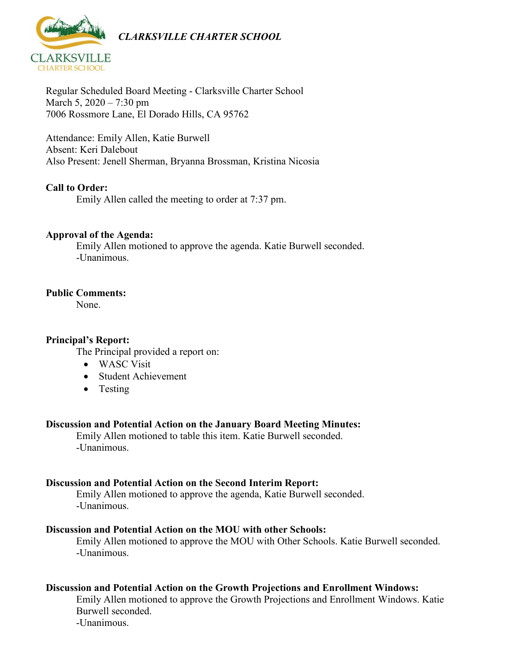

Regular Scheduled Board Meeting - Clarksville Charter School March 5, 2020 – 7:30 pm 7006 Rossmore Lane, El Dorado Hills, CA 95762

Attendance: Emily Allen, Katie Burwell Absent: Keri Dalebout Also Present: Jenell Sherman, Bryanna Brossman, Kristina Nicosia

# **Call to Order:**

Emily Allen called the meeting to order at 7:37 pm.

## **Approval of the Agenda:**

Emily Allen motioned to approve the agenda. Katie Burwell seconded. -Unanimous.

## **Public Comments:**

None.

## **Principal's Report:**

The Principal provided a report on:

- WASC Visit
- Student Achievement
- Testing

#### **Discussion and Potential Action on the January Board Meeting Minutes:**

Emily Allen motioned to table this item. Katie Burwell seconded. -Unanimous.

#### **Discussion and Potential Action on the Second Interim Report:**

Emily Allen motioned to approve the agenda, Katie Burwell seconded. -Unanimous.

#### **Discussion and Potential Action on the MOU with other Schools:**

Emily Allen motioned to approve the MOU with Other Schools. Katie Burwell seconded. -Unanimous.

### **Discussion and Potential Action on the Growth Projections and Enrollment Windows:**

Emily Allen motioned to approve the Growth Projections and Enrollment Windows. Katie Burwell seconded.

-Unanimous.